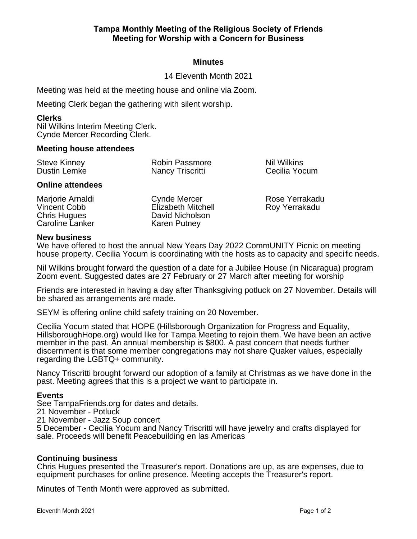## **Minutes**

14 Eleventh Month 2021

Meeting was held at the meeting house and online via Zoom.

Meeting Clerk began the gathering with silent worship.

#### **Clerks**

Nil Wilkins Interim Meeting Clerk. Cynde Mercer Recording Clerk.

#### **Meeting house attendees**

| <b>Steve Kinney</b><br>Dustin Lemke | <b>Robin Passmore</b> | Nil Wilki |
|-------------------------------------|-----------------------|-----------|
|                                     | Nancy Triscritti      | Cecilia \ |

#### **Online attendees**

Marjorie Arnaldi Vincent Cobb Chris Hugues Caroline Lanker Cynde Mercer Elizabeth Mitchell David Nicholson Karen Putney

ins Yocum

Rose Yerrakadu Roy Yerrakadu

#### **New business**

We have offered to host the annual New Years Day 2022 CommUNITY Picnic on meeting house property. Cecilia Yocum is coordinating with the hosts as to capacity and specific needs.

Nil Wilkins brought forward the question of a date for a Jubilee House (in Nicaragua) program Zoom event. Suggested dates are 27 February or 27 March after meeting for worship

Friends are interested in having a day after Thanksgiving potluck on 27 November. Details will be shared as arrangements are made.

SEYM is offering online child safety training on 20 November.

Cecilia Yocum stated that HOPE (Hillsborough Organization for Progress and Equality, HillsboroughHope.org) would like for Tampa Meeting to rejoin them. We have been an active member in the past. An annual membership is \$800. A past concern that needs further discernment is that some member congregations may not share Quaker values, especially regarding the LGBTQ+ community.

Nancy Triscritti brought forward our adoption of a family at Christmas as we have done in the past. Meeting agrees that this is a project we want to participate in.

### **Events**

See TampaFriends.org for dates and details.

21 November - Potluck

21 November - Jazz Soup concert

5 December - Cecilia Yocum and Nancy Triscritti will have jewelry and crafts displayed for sale. Proceeds will benefit Peacebuilding en las Americas

### **Continuing business**

Chris Hugues presented the Treasurer's report. Donations are up, as are expenses, due to equipment purchases for online presence. Meeting accepts the Treasurer's report.

Minutes of Tenth Month were approved as submitted.